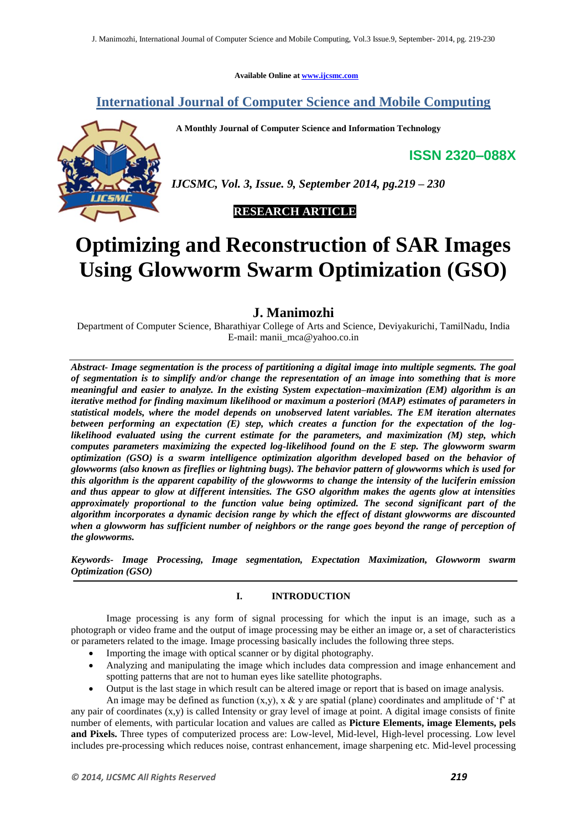**Available Online at [www.ijcsmc.com](http://www.ijcsmc.com/)**

# **International Journal of Computer Science and Mobile Computing**

 **A Monthly Journal of Computer Science and Information Technology**

**ISSN 2320–088X**



*IJCSMC, Vol. 3, Issue. 9, September 2014, pg.219 – 230*



# **Optimizing and Reconstruction of SAR Images Using Glowworm Swarm Optimization (GSO)**

**J. Manimozhi**

Department of Computer Science, Bharathiyar College of Arts and Science, Deviyakurichi, TamilNadu, India E-mail: manii\_mca@yahoo.co.in

*Abstract- Image segmentation is the process of partitioning a [digital image](http://en.wikipedia.org/wiki/Digital_image) into multiple segments. The goal of segmentation is to simplify and/or change the representation of an image into something that is more meaningful and easier to analyze. In the existing System expectation–maximization (EM) algorithm is an [iterative method](http://en.wikipedia.org/wiki/Iterative_method) for finding [maximum likelihood](http://en.wikipedia.org/wiki/Maximum_likelihood) or [maximum a posteriori](http://en.wikipedia.org/wiki/Maximum_a_posteriori) (MAP) estimates of [parameters](http://en.wikipedia.org/wiki/Parameter) in [statistical models,](http://en.wikipedia.org/wiki/Statistical_model) where the model depends on unobserved [latent variables.](http://en.wikipedia.org/wiki/Latent_variable) The EM iteration alternates between performing an expectation (E) step, which creates a function for the expectation of the [log](http://en.wikipedia.org/wiki/Likelihood_function#Log-likelihood)[likelihood](http://en.wikipedia.org/wiki/Likelihood_function#Log-likelihood) evaluated using the current estimate for the parameters, and maximization (M) step, which computes parameters maximizing the expected log-likelihood found on the E step. The glowworm swarm optimization (GSO) is a swarm intelligence optimization algorithm developed based on the behavior of glowworms (also known as fireflies or lightning bugs). The behavior pattern of glowworms which is used for this algorithm is the apparent capability of the glowworms to change the intensity of the luciferin emission and thus appear to glow at different intensities. The GSO algorithm makes the agents glow at intensities approximately proportional to the function value being optimized. The second significant part of the algorithm incorporates a dynamic decision range by which the effect of distant glowworms are discounted when a glowworm has sufficient number of neighbors or the range goes beyond the range of perception of the glowworms.*

*Keywords- Image Processing, Image segmentation, Expectation Maximization, Glowworm swarm Optimization (GSO)*

# **I. INTRODUCTION**

Image processing is any form of signal processing for which the input is an image, such as a photograph or video frame and the output of image processing may be either an image or, a set of characteristics or parameters related to the image. Image processing basically includes the following three steps.

- Importing the image with optical scanner or by digital photography.
- Analyzing and manipulating the image which includes data compression and image enhancement and spotting patterns that are not to human eyes like satellite photographs.
- Output is the last stage in which result can be altered image or report that is based on image analysis.

An image may be defined as function  $(x,y)$ ,  $x \& y$  are spatial (plane) coordinates and amplitude of 'f' at any pair of coordinates  $(x,y)$  is called Intensity or gray level of image at point. A digital image consists of finite number of elements, with particular location and values are called as **Picture Elements, image Elements, pels and Pixels.** Three types of computerized process are: Low-level, Mid-level, High-level processing. Low level includes pre-processing which reduces noise, contrast enhancement, image sharpening etc. Mid-level processing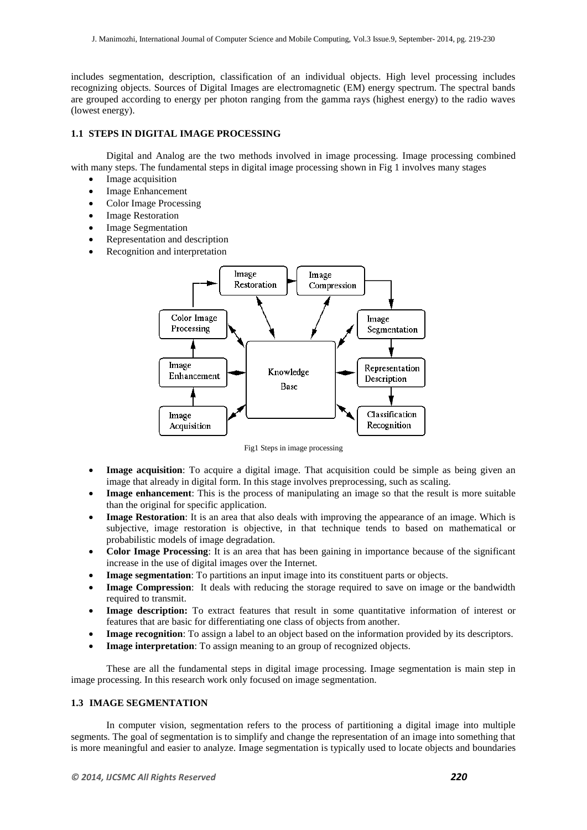includes segmentation, description, classification of an individual objects. High level processing includes recognizing objects. Sources of Digital Images are electromagnetic (EM) energy spectrum. The spectral bands are grouped according to energy per photon ranging from the gamma rays (highest energy) to the radio waves (lowest energy).

# **1.1 STEPS IN DIGITAL IMAGE PROCESSING**

Digital and Analog are the two methods involved in image processing. Image processing combined with many steps. The fundamental steps in digital image processing shown in Fig 1 involves many stages

- Image acquisition
- Image Enhancement
- Color Image Processing
- Image Restoration
- Image Segmentation
- Representation and description
- Recognition and interpretation



Fig1 Steps in image processing

- **Image acquisition**: To acquire a digital image. That acquisition could be simple as being given an image that already in digital form. In this stage involves preprocessing, such as scaling.
- **Image enhancement**: This is the process of manipulating an image so that the result is more suitable than the original for specific application.
- **Image Restoration**: It is an area that also deals with improving the appearance of an image. Which is subjective, image restoration is objective, in that technique tends to based on mathematical or probabilistic models of image degradation.
- **Color Image Processing**: It is an area that has been gaining in importance because of the significant increase in the use of digital images over the Internet.
- **Image segmentation**: To partitions an input image into its constituent parts or objects.
- **Image Compression**: It deals with reducing the storage required to save on image or the bandwidth required to transmit.
- **Image description:** To extract features that result in some quantitative information of interest or features that are basic for differentiating one class of objects from another.
- **Image recognition**: To assign a label to an object based on the information provided by its descriptors.
- **Image interpretation**: To assign meaning to an group of recognized objects.

These are all the fundamental steps in digital image processing. Image segmentation is main step in image processing. In this research work only focused on image segmentation.

#### **1.3 IMAGE SEGMENTATION**

In computer vision, segmentation refers to the process of partitioning a digital image into multiple segments. The goal of segmentation is to simplify and change the representation of an image into something that is more meaningful and easier to analyze. Image segmentation is typically used to locate objects and boundaries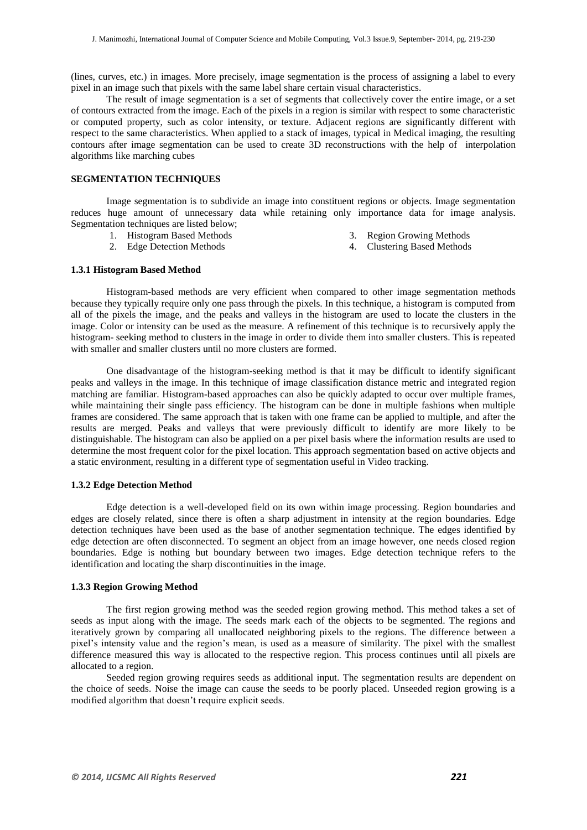(lines, curves, etc.) in images. More precisely, image segmentation is the process of assigning a label to every pixel in an image such that pixels with the same label share certain visual characteristics.

The result of image segmentation is a set of segments that collectively cover the entire image, or a set of contours extracted from the image. Each of the pixels in a region is similar with respect to some characteristic or computed property, such as color intensity, or texture. Adjacent regions are significantly different with respect to the same characteristics. When applied to a stack of images, typical in Medical imaging, the resulting contours after image segmentation can be used to create 3D reconstructions with the help of interpolation algorithms like marching cubes

# **SEGMENTATION TECHNIQUES**

Image segmentation is to subdivide an image into constituent regions or objects. Image segmentation reduces huge amount of unnecessary data while retaining only importance data for image analysis. Segmentation techniques are listed below;

- 1. Histogram Based Methods
- 2. Edge Detection Methods
- 3. Region Growing Methods
- 4. Clustering Based Methods

## **1.3.1 Histogram Based Method**

Histogram-based methods are very efficient when compared to other image segmentation methods because they typically require only one pass through the pixels. In this technique, a histogram is computed from all of the pixels the image, and the peaks and valleys in the histogram are used to locate the clusters in the image. Color or intensity can be used as the measure. A refinement of this technique is to recursively apply the histogram- seeking method to clusters in the image in order to divide them into smaller clusters. This is repeated with smaller and smaller clusters until no more clusters are formed.

One disadvantage of the histogram-seeking method is that it may be difficult to identify significant peaks and valleys in the image. In this technique of image classification distance metric and integrated region matching are familiar. Histogram-based approaches can also be quickly adapted to occur over multiple frames, while maintaining their single pass efficiency. The histogram can be done in multiple fashions when multiple frames are considered. The same approach that is taken with one frame can be applied to multiple, and after the results are merged. Peaks and valleys that were previously difficult to identify are more likely to be distinguishable. The histogram can also be applied on a per pixel basis where the information results are used to determine the most frequent color for the pixel location. This approach segmentation based on active objects and a static environment, resulting in a different type of segmentation useful in Video tracking.

# **1.3.2 Edge Detection Method**

Edge detection is a well-developed field on its own within image processing. Region boundaries and edges are closely related, since there is often a sharp adjustment in intensity at the region boundaries. Edge detection techniques have been used as the base of another segmentation technique. The edges identified by edge detection are often disconnected. To segment an object from an image however, one needs closed region boundaries. Edge is nothing but boundary between two images. Edge detection technique refers to the identification and locating the sharp discontinuities in the image.

# **1.3.3 Region Growing Method**

The first region growing method was the seeded region growing method. This method takes a set of seeds as input along with the image. The seeds mark each of the objects to be segmented. The regions and iteratively grown by comparing all unallocated neighboring pixels to the regions. The difference between a pixel"s intensity value and the region"s mean, is used as a measure of similarity. The pixel with the smallest difference measured this way is allocated to the respective region. This process continues until all pixels are allocated to a region.

Seeded region growing requires seeds as additional input. The segmentation results are dependent on the choice of seeds. Noise the image can cause the seeds to be poorly placed. Unseeded region growing is a modified algorithm that doesn"t require explicit seeds.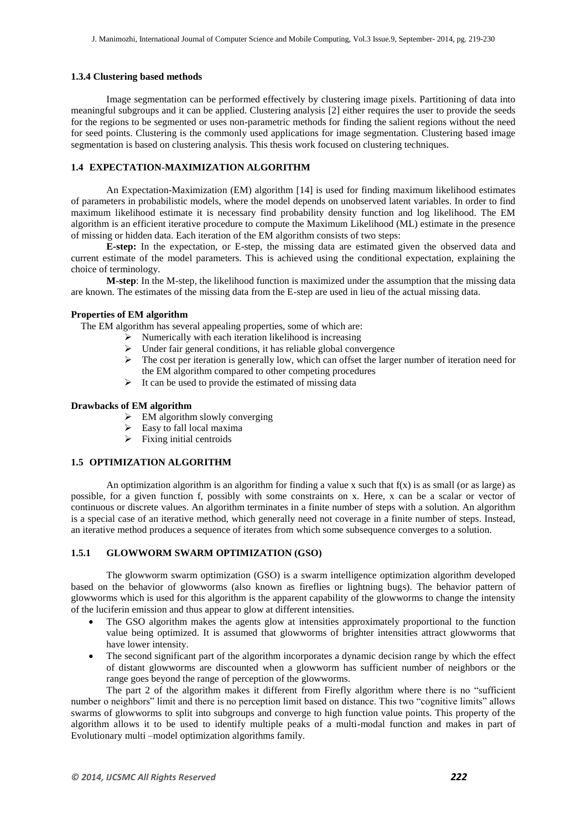## **1.3.4 Clustering based methods**

Image segmentation can be performed effectively by clustering image pixels. Partitioning of data into meaningful subgroups and it can be applied. Clustering analysis [2] either requires the user to provide the seeds for the regions to be segmented or uses non-parametric methods for finding the salient regions without the need for seed points. Clustering is the commonly used applications for image segmentation. Clustering based image segmentation is based on clustering analysis. This thesis work focused on clustering techniques.

# **1.4 EXPECTATION-MAXIMIZATION ALGORITHM**

An Expectation-Maximization (EM) algorithm [14] is used for finding maximum likelihood estimates of parameters in probabilistic models, where the model depends on unobserved latent variables. In order to find maximum likelihood estimate it is necessary find probability density function and log likelihood. The EM algorithm is an efficient iterative procedure to compute the Maximum Likelihood (ML) estimate in the presence of missing or hidden data. Each iteration of the EM algorithm consists of two steps:

**E-step:** In the expectation, or E-step, the missing data are estimated given the observed data and current estimate of the model parameters. This is achieved using the conditional expectation, explaining the choice of terminology.

**M-step**: In the M-step, the likelihood function is maximized under the assumption that the missing data are known. The estimates of the missing data from the E-step are used in lieu of the actual missing data.

## **Properties of EM algorithm**

The EM algorithm has several appealing properties, some of which are:

- Numerically with each iteration likelihood is increasing
	- Under fair general conditions, it has reliable global convergence
	- $\triangleright$  The cost per iteration is generally low, which can offset the larger number of iteration need for the EM algorithm compared to other competing procedures
	- $\triangleright$  It can be used to provide the estimated of missing data

# **Drawbacks of EM algorithm**

- $\triangleright$  EM algorithm slowly converging
- $\triangleright$  Easy to fall local maxima
- $\triangleright$  Fixing initial centroids

# **1.5 OPTIMIZATION ALGORITHM**

An optimization algorithm is an algorithm for finding a value x such that  $f(x)$  is as small (or as large) as possible, for a given function f, possibly with some constraints on x. Here, x can be a scalar or vector of continuous or discrete values. An algorithm terminates in a finite number of steps with a solution. An algorithm is a special case of an iterative method, which generally need not coverage in a finite number of steps. Instead, an iterative method produces a sequence of iterates from which some subsequence converges to a solution.

## **1.5.1 GLOWWORM SWARM OPTIMIZATION (GSO)**

The glowworm swarm optimization (GSO) is a swarm intelligence optimization algorithm developed based on the behavior of glowworms (also known as fireflies or lightning bugs). The behavior pattern of glowworms which is used for this algorithm is the apparent capability of the glowworms to change the intensity of the luciferin emission and thus appear to glow at different intensities.

- The GSO algorithm makes the agents glow at intensities approximately proportional to the function value being optimized. It is assumed that glowworms of brighter intensities attract glowworms that have lower intensity.
- The second significant part of the algorithm incorporates a dynamic decision range by which the effect of distant glowworms are discounted when a glowworm has sufficient number of neighbors or the range goes beyond the range of perception of the glowworms.

The part 2 of the algorithm makes it different from Firefly algorithm where there is no "sufficient number o neighbors" limit and there is no perception limit based on distance. This two "cognitive limits" allows swarms of glowworms to split into subgroups and converge to high function value points. This property of the algorithm allows it to be used to identify multiple peaks of a multi-modal function and makes in part of Evolutionary multi –model optimization algorithms family.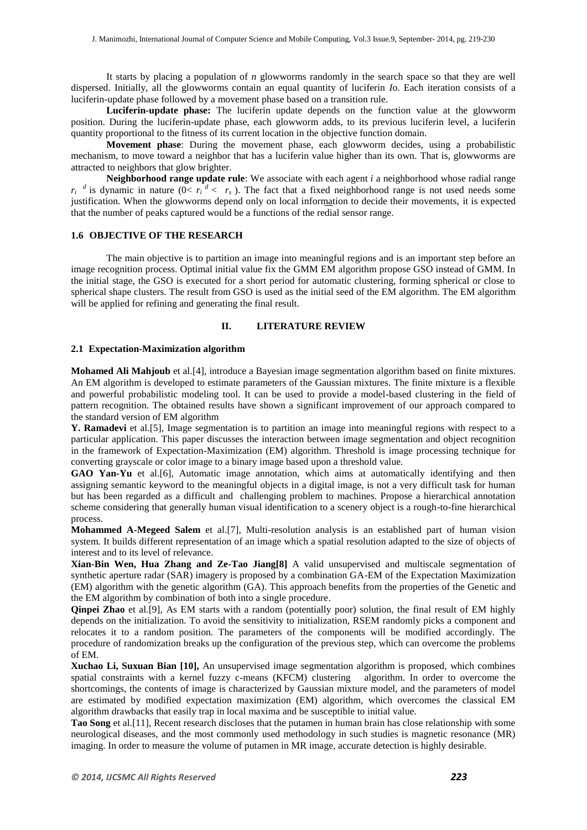It starts by placing a population of *n* glowworms randomly in the search space so that they are well dispersed. Initially, all the glowworms contain an equal quantity of luciferin *I*o. Each iteration consists of a luciferin-update phase followed by a movement phase based on a transition rule.

**Luciferin-update phase:** The luciferin update depends on the function value at the glowworm position. During the luciferin-update phase, each glowworm adds, to its previous luciferin level, a luciferin quantity proportional to the fitness of its current location in the objective function domain.

**Movement phase**: During the movement phase, each glowworm decides, using a probabilistic mechanism, to move toward a neighbor that has a luciferin value higher than its own. That is, glowworms are attracted to neighbors that glow brighter.

**Neighborhood range update rule**: We associate with each agent *i* a neighborhood whose radial range  $r_i$ <sup>d</sup> is dynamic in nature  $(0 < r_i<sup>d</sup> < r_s)$ . The fact that a fixed neighborhood range is not used needs some justification. When the glowworms depend only on local information to decide their movements, it is expected that the number of peaks captured would be a functions of the redial sensor range.

## **1.6 OBJECTIVE OF THE RESEARCH**

The main objective is to partition an image into meaningful regions and is an important step before an image recognition process. Optimal initial value fix the GMM EM algorithm propose GSO instead of GMM. In the initial stage, the GSO is executed for a short period for automatic clustering, forming spherical or close to spherical shape clusters. The result from GSO is used as the initial seed of the EM algorithm. The EM algorithm will be applied for refining and generating the final result.

#### **II. LITERATURE REVIEW**

# **2.1 Expectation-Maximization algorithm**

**Mohamed Ali Mahjoub** et al.[4], introduce a Bayesian image segmentation algorithm based on finite mixtures. An EM algorithm is developed to estimate parameters of the Gaussian mixtures. The finite mixture is a flexible and powerful probabilistic modeling tool. It can be used to provide a model-based clustering in the field of pattern recognition. The obtained results have shown a significant improvement of our approach compared to the standard version of EM algorithm

**Y. Ramadevi** et al.[5], Image segmentation is to partition an image into meaningful regions with respect to a particular application. This paper discusses the interaction between image segmentation and object recognition in the framework of Expectation-Maximization (EM) algorithm. Threshold is image processing technique for converting grayscale or color image to a binary image based upon a threshold value.

**GAO Yan-Yu** et al.[6], Automatic image annotation, which aims at automatically identifying and then assigning semantic keyword to the meaningful objects in a digital image, is not a very difficult task for human but has been regarded as a difficult and challenging problem to machines. Propose a hierarchical annotation scheme considering that generally human visual identification to a scenery object is a rough-to-fine hierarchical process.

**Mohammed A-Megeed Salem** et al.[7], Multi-resolution analysis is an established part of human vision system. It builds different representation of an image which a spatial resolution adapted to the size of objects of interest and to its level of relevance.

**Xian-Bin Wen, Hua Zhang and Ze-Tao Jiang[8]** A valid unsupervised and multiscale segmentation of synthetic aperture radar (SAR) imagery is proposed by a combination GA-EM of the Expectation Maximization (EM) algorithm with the genetic algorithm (GA). This approach benefits from the properties of the Genetic and the EM algorithm by combination of both into a single procedure.

**Qinpei Zhao** et al.<sup>[9]</sup>, As EM starts with a random (potentially poor) solution, the final result of EM highly depends on the initialization. To avoid the sensitivity to initialization, RSEM randomly picks a component and relocates it to a random position. The parameters of the components will be modified accordingly. The procedure of randomization breaks up the configuration of the previous step, which can overcome the problems of EM.

**Xuchao Li, Suxuan Bian [10],** An unsupervised image segmentation algorithm is proposed, which combines spatial constraints with a kernel fuzzy c-means (KFCM) clustering algorithm. In order to overcome the shortcomings, the contents of image is characterized by Gaussian mixture model, and the parameters of model are estimated by modified expectation maximization (EM) algorithm, which overcomes the classical EM algorithm drawbacks that easily trap in local maxima and be susceptible to initial value.

**Tao Song** et al.[11], Recent research discloses that the putamen in human brain has close relationship with some neurological diseases, and the most commonly used methodology in such studies is magnetic resonance (MR) imaging. In order to measure the volume of putamen in MR image, accurate detection is highly desirable.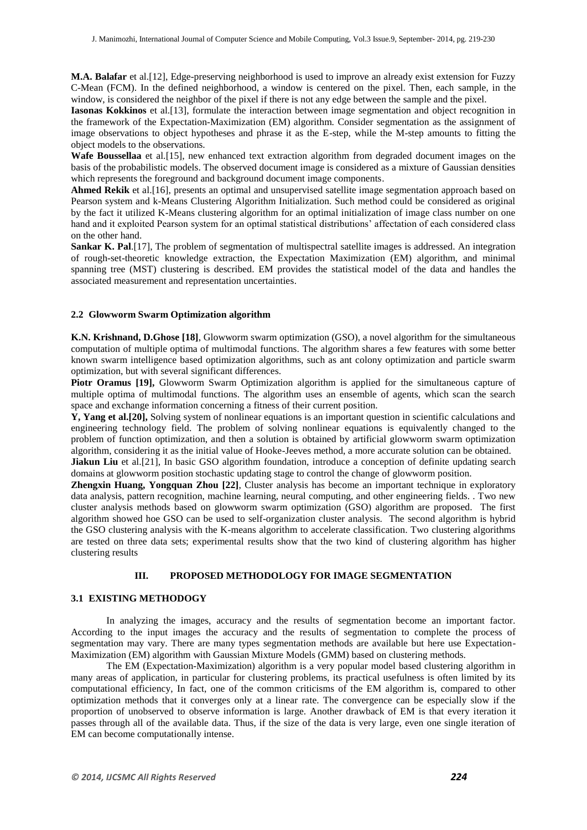**M.A. Balafar** et al.[12], Edge-preserving neighborhood is used to improve an already exist extension for Fuzzy C-Mean (FCM). In the defined neighborhood, a window is centered on the pixel. Then, each sample, in the window, is considered the neighbor of the pixel if there is not any edge between the sample and the pixel.

**Iasonas Kokkinos** et al.[13], formulate the interaction between image segmentation and object recognition in the framework of the Expectation-Maximization (EM) algorithm. Consider segmentation as the assignment of image observations to object hypotheses and phrase it as the E-step, while the M-step amounts to fitting the object models to the observations.

**Wafe Boussellaa** et al.[15], new enhanced text extraction algorithm from degraded document images on the basis of the probabilistic models. The observed document image is considered as a mixture of Gaussian densities which represents the foreground and background document image components.

**Ahmed Rekik** et al.[16], presents an optimal and unsupervised satellite image segmentation approach based on Pearson system and k-Means Clustering Algorithm Initialization. Such method could be considered as original by the fact it utilized K-Means clustering algorithm for an optimal initialization of image class number on one hand and it exploited Pearson system for an optimal statistical distributions" affectation of each considered class on the other hand.

**Sankar K. Pal.**[17], The problem of segmentation of multispectral satellite images is addressed. An integration of rough-set-theoretic knowledge extraction, the Expectation Maximization (EM) algorithm, and minimal spanning tree (MST) clustering is described. EM provides the statistical model of the data and handles the associated measurement and representation uncertainties.

#### **2.2 Glowworm Swarm Optimization algorithm**

**K.N. Krishnand, D.Ghose [18]**, Glowworm swarm optimization (GSO), a novel algorithm for the simultaneous computation of multiple optima of multimodal functions. The algorithm shares a few features with some better known swarm intelligence based optimization algorithms, such as ant colony optimization and particle swarm optimization, but with several significant differences.

**Piotr Oramus [19],** Glowworm Swarm Optimization algorithm is applied for the simultaneous capture of multiple optima of multimodal functions. The algorithm uses an ensemble of agents, which scan the search space and exchange information concerning a fitness of their current position.

**Y, Yang et al.[20],** Solving system of nonlinear equations is an important question in scientific calculations and engineering technology field. The problem of solving nonlinear equations is equivalently changed to the problem of function optimization, and then a solution is obtained by artificial glowworm swarm optimization algorithm, considering it as the initial value of Hooke-Jeeves method, a more accurate solution can be obtained.

**Jiakun Liu** et al.<sup>[21]</sup>, In basic GSO algorithm foundation, introduce a conception of definite updating search domains at glowworm position stochastic updating stage to control the change of glowworm position.

**Zhengxin Huang, Yongquan Zhou [22]**, Cluster analysis has become an important technique in exploratory data analysis, pattern recognition, machine learning, neural computing, and other engineering fields. . Two new cluster analysis methods based on glowworm swarm optimization (GSO) algorithm are proposed. The first algorithm showed hoe GSO can be used to self-organization cluster analysis. The second algorithm is hybrid the GSO clustering analysis with the K-means algorithm to accelerate classification. Two clustering algorithms are tested on three data sets; experimental results show that the two kind of clustering algorithm has higher clustering results

# **III. PROPOSED METHODOLOGY FOR IMAGE SEGMENTATION**

# **3.1 EXISTING METHODOGY**

In analyzing the images, accuracy and the results of segmentation become an important factor. According to the input images the accuracy and the results of segmentation to complete the process of segmentation may vary. There are many types segmentation methods are available but here use Expectation-Maximization (EM) algorithm with Gaussian Mixture Models (GMM) based on clustering methods.

The EM (Expectation-Maximization) algorithm is a very popular model based clustering algorithm in many areas of application, in particular for clustering problems, its practical usefulness is often limited by its computational efficiency, In fact, one of the common criticisms of the EM algorithm is, compared to other optimization methods that it converges only at a linear rate. The convergence can be especially slow if the proportion of unobserved to observe information is large. Another drawback of EM is that every iteration it passes through all of the available data. Thus, if the size of the data is very large, even one single iteration of EM can become computationally intense.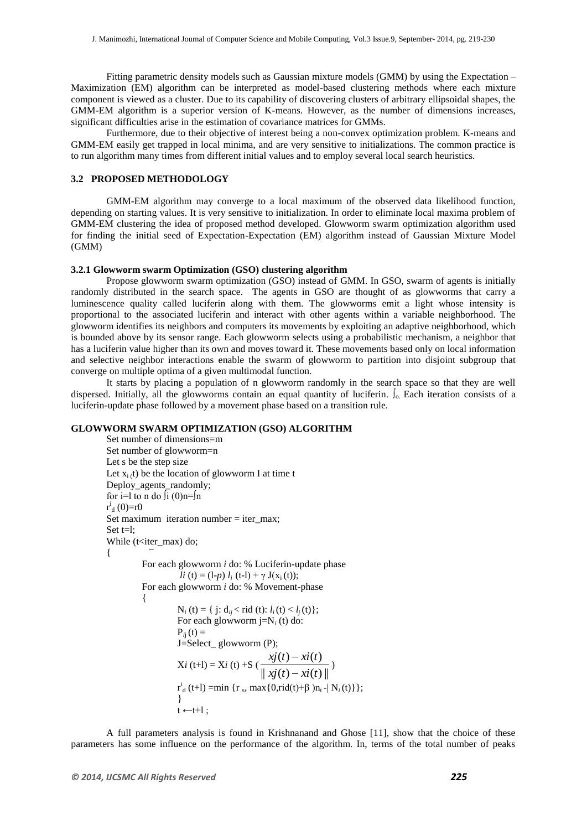Fitting parametric density models such as Gaussian mixture models (GMM) by using the Expectation – Maximization (EM) algorithm can be interpreted as model-based clustering methods where each mixture component is viewed as a cluster. Due to its capability of discovering clusters of arbitrary ellipsoidal shapes, the GMM-EM algorithm is a superior version of K-means. However, as the number of dimensions increases, significant difficulties arise in the estimation of covariance matrices for GMMs.

Furthermore, due to their objective of interest being a non-convex optimization problem. K-means and GMM-EM easily get trapped in local minima, and are very sensitive to initializations. The common practice is to run algorithm many times from different initial values and to employ several local search heuristics.

# **3.2 PROPOSED METHODOLOGY**

GMM-EM algorithm may converge to a local maximum of the observed data likelihood function, depending on starting values. It is very sensitive to initialization. In order to eliminate local maxima problem of GMM-EM clustering the idea of proposed method developed. Glowworm swarm optimization algorithm used for finding the initial seed of Expectation-Expectation (EM) algorithm instead of Gaussian Mixture Model (GMM)

# **3.2.1 Glowworm swarm Optimization (GSO) clustering algorithm**

Propose glowworm swarm optimization (GSO) instead of GMM. In GSO, swarm of agents is initially randomly distributed in the search space. The agents in GSO are thought of as glowworms that carry a luminescence quality called luciferin along with them. The glowworms emit a light whose intensity is proportional to the associated luciferin and interact with other agents within a variable neighborhood. The glowworm identifies its neighbors and computers its movements by exploiting an adaptive neighborhood, which is bounded above by its sensor range. Each glowworm selects using a probabilistic mechanism, a neighbor that has a luciferin value higher than its own and moves toward it. These movements based only on local information and selective neighbor interactions enable the swarm of glowworm to partition into disjoint subgroup that converge on multiple optima of a given multimodal function.

It starts by placing a population of n glowworm randomly in the search space so that they are well dispersed. Initially, all the glowworms contain an equal quantity of luciferin. ∫<sub>o</sub>. Each iteration consists of a luciferin-update phase followed by a movement phase based on a transition rule.

# **GLOWWORM SWARM OPTIMIZATION (GSO) ALGORITHM**

Set number of dimensions=m Set number of glowworm=n Let s be the step size Let  $x_i(t)$  be the location of glowworm I at time t Deploy agents randomly; for i=l to n do  $\int$ i (0)n= $\int$ n  $r_d^i(0)=r0$ Set maximum iteration number = iter max; Set t=l; While (t<iter\_max) do; For each glowworm *i* do: % Luciferin-update phase *li* (t) = (l-*p*)  $l_i$  (t-l) +  $\gamma$  J( $x_i$  (t)); For each glowworm *i* do: % Movement-phase {  $N_i$  (t) = { j: d<sub>*ij*</sub> < rid (t):  $l_i$  (t) <  $l_j$  (t) }; For each glowworm j=N*<sup>i</sup>* (t) do:  $P_{ii}(t) =$  J=Select\_ glowworm (P);  $Xi(t+1) = Xi(t) + S\left(\frac{y(t) - ix(t)}{\| x j(t) - xi(t) \|}\right)$  $(t) - xi(t)$  $xj(t) - xi(t)$  $xj(t) - xi(t)$  $\overline{a}$  $\frac{-x i(t)}{t}$  $r_d^i$  (t+1) =min {r <sub>s</sub>, max{0,rid(t)+β )n<sub>t</sub> -| N<sub>*i*</sub>(t)}}; }  $t \leftarrow t+1$  :

A full parameters analysis is found in Krishnanand and Ghose [11], show that the choice of these parameters has some influence on the performance of the algorithm. In, terms of the total number of peaks

{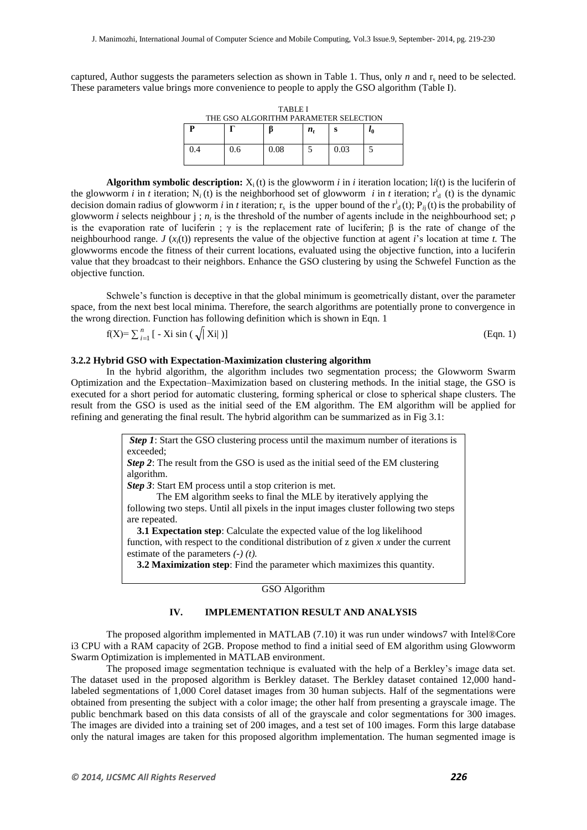captured, Author suggests the parameters selection as shown in Table 1. Thus, only  $n$  and  $r_s$  need to be selected. These parameters value brings more convenience to people to apply the GSO algorithm (Table I).

TABLE I

| 1700 J.M<br>THE GSO ALGORITHM PARAMETER SELECTION |     |      |    |      |    |  |  |
|---------------------------------------------------|-----|------|----|------|----|--|--|
|                                                   |     |      | n, |      | ւն |  |  |
|                                                   | 0.6 | 0.08 |    | 0.03 |    |  |  |

**Algorithm symbolic description:**  $X_i(t)$  is the glowworm *i* in *i* iteration location; l*i*(t) is the luciferin of the glowworm *i* in *t* iteration; N<sub>i</sub>(t) is the neighborhood set of glowworm *i* in *t* iteration;  $r_d^i$  (t) is the dynamic decision domain radius of glowworm *i* in *t* iteration;  $r_s$  is the upper bound of the  $r_d^i(t)$ ;  $P_{ij}(t)$  is the probability of glowworm *i* selects neighbour j ; *n<sup>t</sup>* is the threshold of the number of agents include in the neighbourhood set; ρ is the evaporation rate of luciferin ; γ is the replacement rate of luciferin; β is the rate of change of the neighbourhood range.  $J(x_i(t))$  represents the value of the objective function at agent *i*'s location at time *t*. The glowworms encode the fitness of their current locations, evaluated using the objective function, into a luciferin value that they broadcast to their neighbors. Enhance the GSO clustering by using the Schwefel Function as the objective function.

Schwele"s function is deceptive in that the global minimum is geometrically distant, over the parameter space, from the next best local minima. Therefore, the search algorithms are potentially prone to convergence in the wrong direction. Function has following definition which is shown in Eqn. 1

$$
f(X) = \sum_{i=1}^{n} \left[ -Xi \sin \left( \sqrt{|Xi|} \right) \right]
$$
 (Eqn. 1)

# **3.2.2 Hybrid GSO with Expectation-Maximization clustering algorithm**

In the hybrid algorithm, the algorithm includes two segmentation process; the Glowworm Swarm Optimization and the Expectation–Maximization based on clustering methods. In the initial stage, the GSO is executed for a short period for automatic clustering, forming spherical or close to spherical shape clusters. The result from the GSO is used as the initial seed of the EM algorithm. The EM algorithm will be applied for refining and generating the final result. The hybrid algorithm can be summarized as in Fig 3.1:

> *Step 1*: Start the GSO clustering process until the maximum number of iterations is exceeded;

*Step 2*: The result from the GSO is used as the initial seed of the EM clustering algorithm.

*Step 3*: Start EM process until a stop criterion is met.

 The EM algorithm seeks to final the MLE by iteratively applying the following two steps. Until all pixels in the input images cluster following two steps are repeated.

 **3.1 Expectation step**: Calculate the expected value of the log likelihood function, with respect to the conditional distribution of z given *x* under the current estimate of the parameters *(-) (t).*

**3.2 Maximization step**: Find the parameter which maximizes this quantity.

GSO Algorithm

# **IV. IMPLEMENTATION RESULT AND ANALYSIS**

The proposed algorithm implemented in MATLAB (7.10) it was run under windows7 with Intel®Core i3 CPU with a RAM capacity of 2GB. Propose method to find a initial seed of EM algorithm using Glowworm Swarm Optimization is implemented in MATLAB environment.

The proposed image segmentation technique is evaluated with the help of a Berkley"s image data set. The dataset used in the proposed algorithm is Berkley dataset. The Berkley dataset contained 12,000 handlabeled segmentations of 1,000 Corel dataset images from 30 human subjects. Half of the segmentations were obtained from presenting the subject with a color image; the other half from presenting a grayscale image. The public benchmark based on this data consists of all of the grayscale and color segmentations for 300 images. The images are divided into a training set of 200 images, and a test set of 100 images. Form this large database only the natural images are taken for this proposed algorithm implementation. The human segmented image is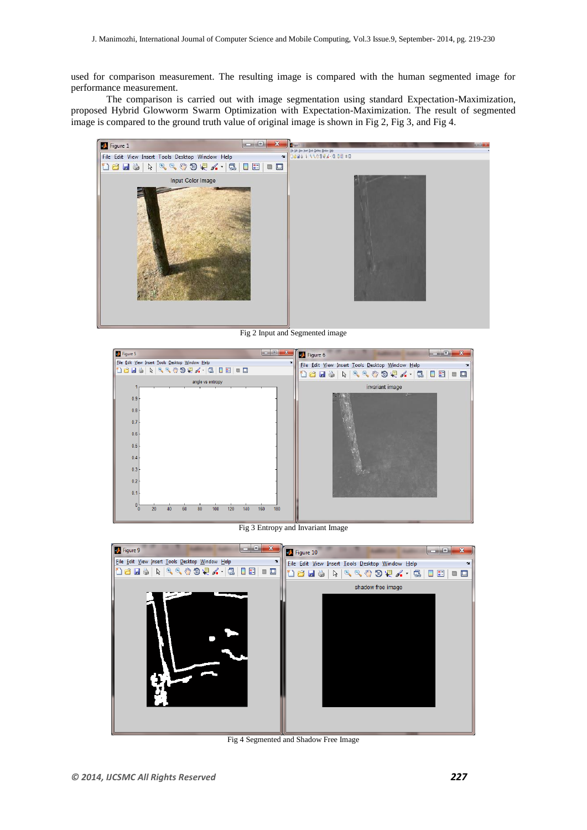used for comparison measurement. The resulting image is compared with the human segmented image for performance measurement.

The comparison is carried out with image segmentation using standard Expectation-Maximization, proposed Hybrid Glowworm Swarm Optimization with Expectation-Maximization. The result of segmented image is compared to the ground truth value of original image is shown in Fig 2, Fig 3, and Fig 4.



Fig 2 Input and Segmented image



Fig 3 Entropy and Invariant Image



Fig 4 Segmented and Shadow Free Image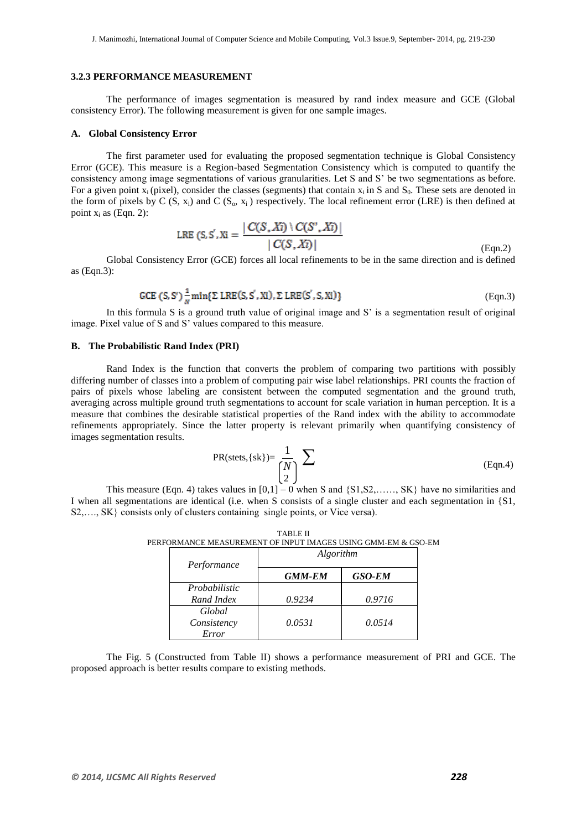#### **3.2.3 PERFORMANCE MEASUREMENT**

The performance of images segmentation is measured by rand index measure and GCE (Global consistency Error). The following measurement is given for one sample images.

#### **A. Global Consistency Error**

The first parameter used for evaluating the proposed segmentation technique is Global Consistency Error (GCE). This measure is a Region-based Segmentation Consistency which is computed to quantify the consistency among image segmentations of various granularities. Let S and S" be two segmentations as before. For a given point  $x_i$  (pixel), consider the classes (segments) that contain  $x_i$  in S and  $S_0$ . These sets are denoted in the form of pixels by C (S,  $x_i$ ) and C (S<sub>o</sub>,  $x_i$ ) respectively. The local refinement error (LRE) is then defined at point  $x_i$  as (Eqn. 2):

LRE (S, S', Xi = 
$$
\frac{|C(S, Xi) \setminus C(S', Xi)|}{|C(S, Xi)|}
$$
 (Eqn.2)

Global Consistency Error (GCE) forces all local refinements to be in the same direction and is defined as (Eqn.3):

$$
GCE (S, S') \frac{1}{N} min\{ \Sigma LRE(S, S', Xi), \Sigma LRE(S', S, Xi) \}
$$
 (Eqn.3)

In this formula S is a ground truth value of original image and S' is a segmentation result of original image. Pixel value of S and S' values compared to this measure.

# **B. The Probabilistic Rand Index (PRI)**

Rand Index is the function that converts the problem of comparing two partitions with possibly differing number of classes into a problem of computing pair wise label relationships. PRI counts the fraction of pairs of pixels whose labeling are consistent between the computed segmentation and the ground truth, averaging across multiple ground truth segmentations to account for scale variation in human perception. It is a measure that combines the desirable statistical properties of the Rand index with the ability to accommodate refinements appropriately. Since the latter property is relevant primarily when quantifying consistency of images segmentation results.

$$
PR(stets, \{sk\}) = \frac{1}{\begin{pmatrix} N \\ 2 \end{pmatrix}} \sum
$$
 (Eqn.4)

This measure (Eqn. 4) takes values in  $[0,1]$  – 0 when S and  $\{S1,S2,......, SK\}$  have no similarities and I when all segmentations are identical (i.e. when S consists of a single cluster and each segmentation in {S1, S2,…., SK} consists only of clusters containing single points, or Vice versa).

TABLE II

| PERFORMANCE MEASUREMENT OF INPUT IMAGES USING GMM-EM & GSO-EM |               |        |  |
|---------------------------------------------------------------|---------------|--------|--|
| Performance                                                   | Algorithm     |        |  |
|                                                               | <b>GMM-EM</b> | GSO-EM |  |
| Probabilistic                                                 |               |        |  |
| Rand Index                                                    | 0.9234        | 0.9716 |  |
| Global                                                        |               |        |  |
| Consistency                                                   | 0.0531        | 0.0514 |  |
| Error                                                         |               |        |  |

The Fig. 5 (Constructed from Table II) shows a performance measurement of PRI and GCE. The proposed approach is better results compare to existing methods.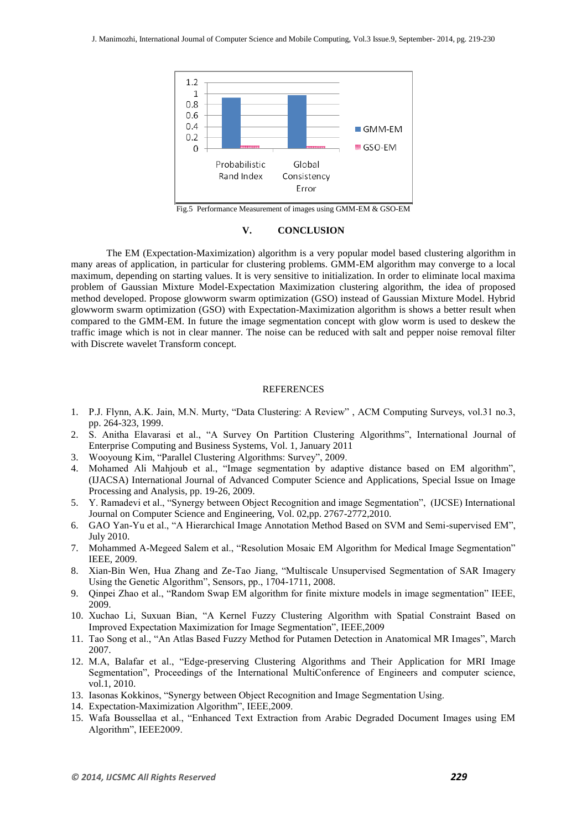

Fig.5 Performance Measurement of images using GMM-EM & GSO-EM

#### **V. CONCLUSION**

The EM (Expectation-Maximization) algorithm is a very popular model based clustering algorithm in many areas of application, in particular for clustering problems. GMM-EM algorithm may converge to a local maximum, depending on starting values. It is very sensitive to initialization. In order to eliminate local maxima problem of Gaussian Mixture Model-Expectation Maximization clustering algorithm, the idea of proposed method developed. Propose glowworm swarm optimization (GSO) instead of Gaussian Mixture Model. Hybrid glowworm swarm optimization (GSO) with Expectation-Maximization algorithm is shows a better result when compared to the GMM-EM. In future the image segmentation concept with glow worm is used to deskew the traffic image which is not in clear manner. The noise can be reduced with salt and pepper noise removal filter with Discrete wavelet Transform concept.

#### REFERENCES

- 1. P.J. Flynn, A.K. Jain, M.N. Murty, "Data Clustering: A Review" , ACM Computing Surveys, vol.31 no.3, pp. 264-323, 1999.
- 2. S. Anitha Elavarasi et al., "A Survey On Partition Clustering Algorithms", International Journal of Enterprise Computing and Business Systems, Vol. 1, January 2011
- 3. Wooyoung Kim, "Parallel Clustering Algorithms: Survey", 2009.
- 4. Mohamed Ali Mahjoub et al., "Image segmentation by adaptive distance based on EM algorithm", (IJACSA) International Journal of Advanced Computer Science and Applications, Special Issue on Image Processing and Analysis, pp. 19-26, 2009.
- 5. Y. Ramadevi et al., "Synergy between Object Recognition and image Segmentation", (IJCSE) International Journal on Computer Science and Engineering, Vol. 02,pp. 2767-2772,2010.
- 6. GAO Yan-Yu et al., "A Hierarchical Image Annotation Method Based on SVM and Semi-supervised EM", July 2010.
- 7. Mohammed A-Megeed Salem et al., "Resolution Mosaic EM Algorithm for Medical Image Segmentation" IEEE, 2009.
- 8. Xian-Bin Wen, Hua Zhang and Ze-Tao Jiang, "Multiscale Unsupervised Segmentation of SAR Imagery Using the Genetic Algorithm", Sensors, pp., 1704-1711, 2008.
- 9. Qinpei Zhao et al., "Random Swap EM algorithm for finite mixture models in image segmentation" IEEE, 2009.
- 10. Xuchao Li, Suxuan Bian, "A Kernel Fuzzy Clustering Algorithm with Spatial Constraint Based on Improved Expectation Maximization for Image Segmentation", IEEE,2009
- 11. Tao Song et al., "An Atlas Based Fuzzy Method for Putamen Detection in Anatomical MR Images", March 2007.
- 12. M.A, Balafar et al., "Edge-preserving Clustering Algorithms and Their Application for MRI Image Segmentation", Proceedings of the International MultiConference of Engineers and computer science, vol.1, 2010.
- 13. Iasonas Kokkinos, "Synergy between Object Recognition and Image Segmentation Using.
- 14. Expectation-Maximization Algorithm", IEEE,2009.
- 15. Wafa Boussellaa et al., "Enhanced Text Extraction from Arabic Degraded Document Images using EM Algorithm", IEEE2009.